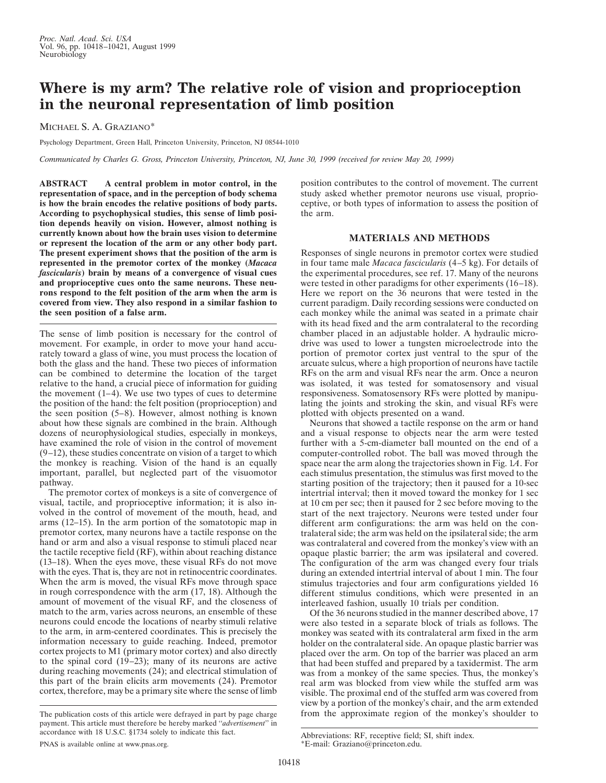## **Where is my arm? The relative role of vision and proprioception in the neuronal representation of limb position**

MICHAEL S. A. GRAZIANO\*

Psychology Department, Green Hall, Princeton University, Princeton, NJ 08544-1010

*Communicated by Charles G. Gross, Princeton University, Princeton, NJ, June 30, 1999 (received for review May 20, 1999)*

**ABSTRACT A central problem in motor control, in the representation of space, and in the perception of body schema is how the brain encodes the relative positions of body parts. According to psychophysical studies, this sense of limb position depends heavily on vision. However, almost nothing is currently known about how the brain uses vision to determine or represent the location of the arm or any other body part. The present experiment shows that the position of the arm is represented in the premotor cortex of the monkey (***Macaca fascicularis***) brain by means of a convergence of visual cues and proprioceptive cues onto the same neurons. These neurons respond to the felt position of the arm when the arm is covered from view. They also respond in a similar fashion to the seen position of a false arm.**

The sense of limb position is necessary for the control of movement. For example, in order to move your hand accurately toward a glass of wine, you must process the location of both the glass and the hand. These two pieces of information can be combined to determine the location of the target relative to the hand, a crucial piece of information for guiding the movement  $(1-4)$ . We use two types of cues to determine the position of the hand: the felt position (proprioception) and the seen position (5–8). However, almost nothing is known about how these signals are combined in the brain. Although dozens of neurophysiological studies, especially in monkeys, have examined the role of vision in the control of movement  $(9-12)$ , these studies concentrate on vision of a target to which the monkey is reaching. Vision of the hand is an equally important, parallel, but neglected part of the visuomotor pathway.

The premotor cortex of monkeys is a site of convergence of visual, tactile, and proprioceptive information; it is also involved in the control of movement of the mouth, head, and arms (12–15). In the arm portion of the somatotopic map in premotor cortex, many neurons have a tactile response on the hand or arm and also a visual response to stimuli placed near the tactile receptive field (RF), within about reaching distance (13–18). When the eyes move, these visual RFs do not move with the eyes. That is, they are not in retinocentric coordinates. When the arm is moved, the visual RFs move through space in rough correspondence with the arm (17, 18). Although the amount of movement of the visual RF, and the closeness of match to the arm, varies across neurons, an ensemble of these neurons could encode the locations of nearby stimuli relative to the arm, in arm-centered coordinates. This is precisely the information necessary to guide reaching. Indeed, premotor cortex projects to M1 (primary motor cortex) and also directly to the spinal cord (19–23); many of its neurons are active during reaching movements (24); and electrical stimulation of this part of the brain elicits arm movements (24). Premotor cortex, therefore, may be a primary site where the sense of limb

position contributes to the control of movement. The current study asked whether premotor neurons use visual, proprioceptive, or both types of information to assess the position of the arm.

## **MATERIALS AND METHODS**

Responses of single neurons in premotor cortex were studied in four tame male *Macaca fascicularis* (4–5 kg). For details of the experimental procedures, see ref. 17. Many of the neurons were tested in other paradigms for other experiments (16–18). Here we report on the 36 neurons that were tested in the current paradigm. Daily recording sessions were conducted on each monkey while the animal was seated in a primate chair with its head fixed and the arm contralateral to the recording chamber placed in an adjustable holder. A hydraulic microdrive was used to lower a tungsten microelectrode into the portion of premotor cortex just ventral to the spur of the arcuate sulcus, where a high proportion of neurons have tactile RFs on the arm and visual RFs near the arm. Once a neuron was isolated, it was tested for somatosensory and visual responsiveness. Somatosensory RFs were plotted by manipulating the joints and stroking the skin, and visual RFs were plotted with objects presented on a wand.

Neurons that showed a tactile response on the arm or hand and a visual response to objects near the arm were tested further with a 5-cm-diameter ball mounted on the end of a computer-controlled robot. The ball was moved through the space near the arm along the trajectories shown in Fig. 1*A*. For each stimulus presentation, the stimulus was first moved to the starting position of the trajectory; then it paused for a 10-sec intertrial interval; then it moved toward the monkey for 1 sec at 10 cm per sec; then it paused for 2 sec before moving to the start of the next trajectory. Neurons were tested under four different arm configurations: the arm was held on the contralateral side; the arm was held on the ipsilateral side; the arm was contralateral and covered from the monkey's view with an opaque plastic barrier; the arm was ipsilateral and covered. The configuration of the arm was changed every four trials during an extended intertrial interval of about 1 min. The four stimulus trajectories and four arm configurations yielded 16 different stimulus conditions, which were presented in an interleaved fashion, usually 10 trials per condition.

Of the 36 neurons studied in the manner described above, 17 were also tested in a separate block of trials as follows. The monkey was seated with its contralateral arm fixed in the arm holder on the contralateral side. An opaque plastic barrier was placed over the arm. On top of the barrier was placed an arm that had been stuffed and prepared by a taxidermist. The arm was from a monkey of the same species. Thus, the monkey's real arm was blocked from view while the stuffed arm was visible. The proximal end of the stuffed arm was covered from view by a portion of the monkey's chair, and the arm extended The publication costs of this article were defrayed in part by page charge from the approximate region of the monkey's shoulder to

payment. This article must therefore be hereby marked ''*advertisement*'' in accordance with 18 U.S.C. §1734 solely to indicate this fact.

Abbreviations: RF, receptive field; SI, shift index. \*E-mail: Graziano@princeton.edu.

PNAS is available online at www.pnas.org.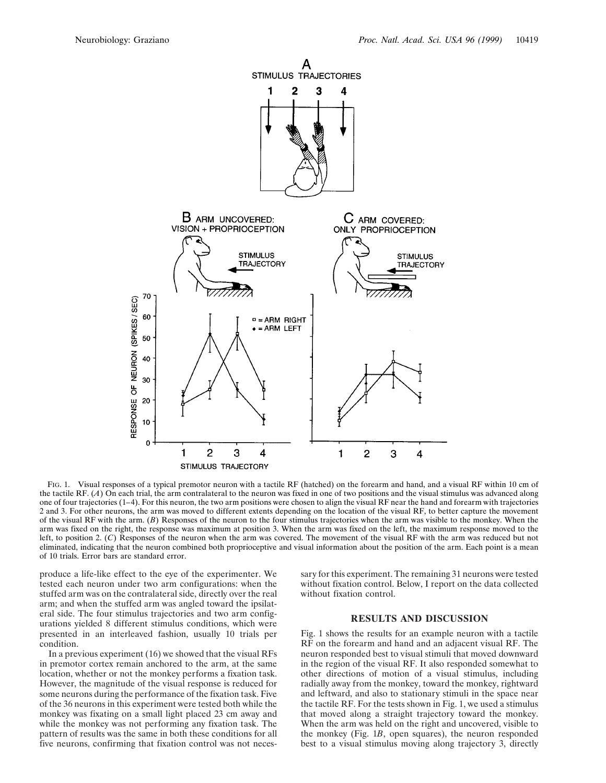

FIG. 1. Visual responses of a typical premotor neuron with a tactile RF (hatched) on the forearm and hand, and a visual RF within 10 cm of the tactile RF. (*A*) On each trial, the arm contralateral to the neuron was fixed in one of two positions and the visual stimulus was advanced along one of four trajectories (1–4). For this neuron, the two arm positions were chosen to align the visual RF near the hand and forearm with trajectories 2 and 3. For other neurons, the arm was moved to different extents depending on the location of the visual RF, to better capture the movement of the visual RF with the arm. (*B*) Responses of the neuron to the four stimulus trajectories when the arm was visible to the monkey. When the arm was fixed on the right, the response was maximum at position 3. When the arm was fixed on the left, the maximum response moved to the left, to position 2. (*C*) Responses of the neuron when the arm was covered. The movement of the visual RF with the arm was reduced but not eliminated, indicating that the neuron combined both proprioceptive and visual information about the position of the arm. Each point is a mean of 10 trials. Error bars are standard error.

produce a life-like effect to the eye of the experimenter. We tested each neuron under two arm configurations: when the stuffed arm was on the contralateral side, directly over the real arm; and when the stuffed arm was angled toward the ipsilateral side. The four stimulus trajectories and two arm configurations yielded 8 different stimulus conditions, which were presented in an interleaved fashion, usually 10 trials per condition.

In a previous experiment (16) we showed that the visual RFs in premotor cortex remain anchored to the arm, at the same location, whether or not the monkey performs a fixation task. However, the magnitude of the visual response is reduced for some neurons during the performance of the fixation task. Five of the 36 neurons in this experiment were tested both while the monkey was fixating on a small light placed 23 cm away and while the monkey was not performing any fixation task. The pattern of results was the same in both these conditions for all five neurons, confirming that fixation control was not necessary for this experiment. The remaining 31 neurons were tested without fixation control. Below, I report on the data collected without fixation control.

## **RESULTS AND DISCUSSION**

Fig. 1 shows the results for an example neuron with a tactile RF on the forearm and hand and an adjacent visual RF. The neuron responded best to visual stimuli that moved downward in the region of the visual RF. It also responded somewhat to other directions of motion of a visual stimulus, including radially away from the monkey, toward the monkey, rightward and leftward, and also to stationary stimuli in the space near the tactile RF. For the tests shown in Fig. 1, we used a stimulus that moved along a straight trajectory toward the monkey. When the arm was held on the right and uncovered, visible to the monkey (Fig. 1*B*, open squares), the neuron responded best to a visual stimulus moving along trajectory 3, directly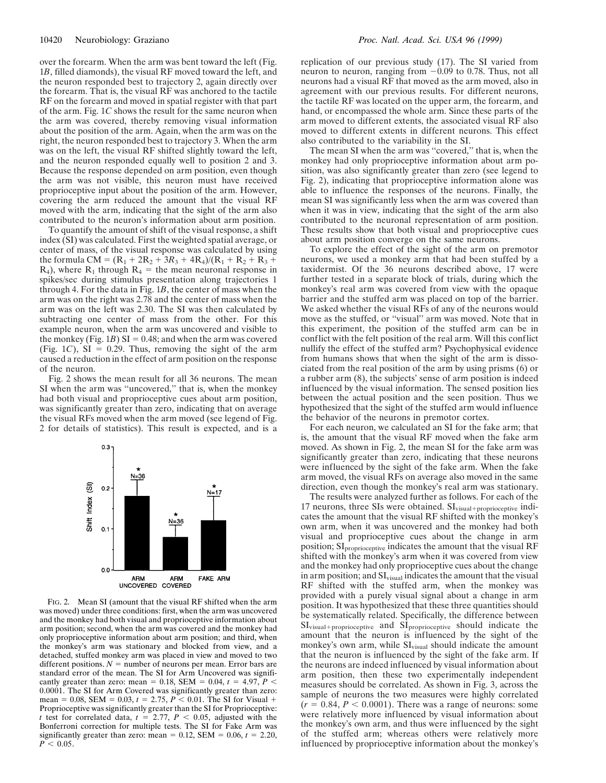over the forearm. When the arm was bent toward the left (Fig. 1*B*, filled diamonds), the visual RF moved toward the left, and the neuron responded best to trajectory 2, again directly over the forearm. That is, the visual RF was anchored to the tactile RF on the forearm and moved in spatial register with that part of the arm. Fig. 1*C* shows the result for the same neuron when the arm was covered, thereby removing visual information about the position of the arm. Again, when the arm was on the right, the neuron responded best to trajectory 3. When the arm was on the left, the visual RF shifted slightly toward the left, and the neuron responded equally well to position 2 and 3. Because the response depended on arm position, even though the arm was not visible, this neuron must have received proprioceptive input about the position of the arm. However, covering the arm reduced the amount that the visual RF moved with the arm, indicating that the sight of the arm also contributed to the neuron's information about arm position.

To quantify the amount of shift of the visual response, a shift index (SI) was calculated. First the weighted spatial average, or center of mass, of the visual response was calculated by using the formula CM =  $(R_1 + 2R_2 + 3R_3 + 4R_4)/(R_1 + R_2 + R_3 +$  $R_4$ ), where  $R_1$  through  $R_4$  = the mean neuronal response in spikes/sec during stimulus presentation along trajectories 1 through 4. For the data in Fig. 1*B*, the center of mass when the arm was on the right was 2.78 and the center of mass when the arm was on the left was 2.30. The SI was then calculated by subtracting one center of mass from the other. For this example neuron, when the arm was uncovered and visible to the monkey (Fig. 1*B*) SI = 0.48; and when the arm was covered (Fig. 1*C*),  $SI = 0.29$ . Thus, removing the sight of the arm caused a reduction in the effect of arm position on the response of the neuron.

Fig. 2 shows the mean result for all 36 neurons. The mean SI when the arm was ''uncovered,'' that is, when the monkey had both visual and proprioceptive cues about arm position, was significantly greater than zero, indicating that on average the visual RFs moved when the arm moved (see legend of Fig. 2 for details of statistics). This result is expected, and is a



FIG. 2. Mean SI (amount that the visual RF shifted when the arm was moved) under three conditions: first, when the arm was uncovered and the monkey had both visual and proprioceptive information about arm position; second, when the arm was covered and the monkey had only proprioceptive information about arm position; and third, when the monkey's arm was stationary and blocked from view, and a detached, stuffed monkey arm was placed in view and moved to two different positions.  $N =$  number of neurons per mean. Error bars are standard error of the mean. The SI for Arm Uncovered was significantly greater than zero: mean = 0.18, SEM = 0.04,  $t = 4.97$ ,  $P <$ 0.0001. The SI for Arm Covered was significantly greater than zero: mean = 0.08, SEM = 0.03,  $t = 2.75$ ,  $P \le 0.01$ . The SI for Visual + Proprioceptive was significantly greater than the SI for Proprioceptive: *t* test for correlated data,  $t = 2.77$ ,  $P < 0.05$ , adjusted with the Bonferroni correction for multiple tests. The SI for Fake Arm was significantly greater than zero: mean =  $0.12$ , SEM =  $0.06$ ,  $t = 2.20$ ,  $P \leq 0.05$ .

replication of our previous study (17). The SI varied from neuron to neuron, ranging from  $-0.09$  to 0.78. Thus, not all neurons had a visual RF that moved as the arm moved, also in agreement with our previous results. For different neurons, the tactile RF was located on the upper arm, the forearm, and hand, or encompassed the whole arm. Since these parts of the arm moved to different extents, the associated visual RF also moved to different extents in different neurons. This effect also contributed to the variability in the SI.

The mean SI when the arm was ''covered,'' that is, when the monkey had only proprioceptive information about arm position, was also significantly greater than zero (see legend to Fig. 2), indicating that proprioceptive information alone was able to influence the responses of the neurons. Finally, the mean SI was significantly less when the arm was covered than when it was in view, indicating that the sight of the arm also contributed to the neuronal representation of arm position. These results show that both visual and proprioceptive cues about arm position converge on the same neurons.

To explore the effect of the sight of the arm on premotor neurons, we used a monkey arm that had been stuffed by a taxidermist. Of the 36 neurons described above, 17 were further tested in a separate block of trials, during which the monkey's real arm was covered from view with the opaque barrier and the stuffed arm was placed on top of the barrier. We asked whether the visual RFs of any of the neurons would move as the stuffed, or ''visual'' arm was moved. Note that in this experiment, the position of the stuffed arm can be in conflict with the felt position of the real arm. Will this conflict nullify the effect of the stuffed arm? Psychophysical evidence from humans shows that when the sight of the arm is dissociated from the real position of the arm by using prisms (6) or a rubber arm (8), the subjects' sense of arm position is indeed influenced by the visual information. The sensed position lies between the actual position and the seen position. Thus we hypothesized that the sight of the stuffed arm would influence the behavior of the neurons in premotor cortex.

For each neuron, we calculated an SI for the fake arm; that is, the amount that the visual RF moved when the fake arm moved. As shown in Fig. 2, the mean SI for the fake arm was significantly greater than zero, indicating that these neurons were influenced by the sight of the fake arm. When the fake arm moved, the visual RFs on average also moved in the same direction, even though the monkey's real arm was stationary.

The results were analyzed further as follows. For each of the 17 neurons, three SIs were obtained. SI<sub>visual+proprioceptive</sub> indicates the amount that the visual RF shifted with the monkey's own arm, when it was uncovered and the monkey had both visual and proprioceptive cues about the change in arm position; SI<sub>proprioceptive</sub> indicates the amount that the visual RF shifted with the monkey's arm when it was covered from view and the monkey had only proprioceptive cues about the change in arm position; and  $SI<sub>visual</sub>$  indicates the amount that the visual RF shifted with the stuffed arm, when the monkey was provided with a purely visual signal about a change in arm position. It was hypothesized that these three quantities should be systematically related. Specifically, the difference between  $SI<sub>visual+proprioceptive</sub>$  and  $SI<sub>proprioceptive</sub>$  should indicate the amount that the neuron is influenced by the sight of the monkey's own arm, while  $SI<sub>visual</sub>$  should indicate the amount that the neuron is influenced by the sight of the fake arm. If the neurons are indeed influenced by visual information about arm position, then these two experimentally independent measures should be correlated. As shown in Fig. 3, across the sample of neurons the two measures were highly correlated  $(r = 0.84, P < 0.0001)$ . There was a range of neurons: some were relatively more influenced by visual information about the monkey's own arm, and thus were influenced by the sight of the stuffed arm; whereas others were relatively more influenced by proprioceptive information about the monkey's